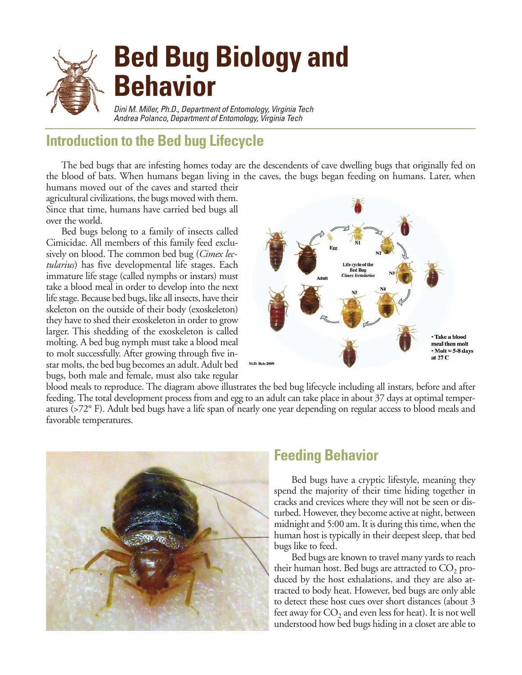

## **Introduction to the Bed bug Lifecycle**

The bed bugs that are infesting homes today are the descendents of cave dwelling bugs that originally fed on the blood of bats. When humans began living in the caves, the bugs began feeding on humans. Later, when

humans moved out of the caves and started their agricultural civilizations, the bugs moved with them. Since that time, humans have carried bed bugs all over the world.

Bed bugs belong to a family of insects called Cimicidae. All members of this family feed exclusively on blood. The common bed bug (*Cimex lectularius*) has five developmental life stages. Each immature life stage (called nymphs or instars) must take a blood meal in order to develop into the next life stage. Because bed bugs, like all insects, have their skeleton on the outside of their body (exoskeleton) they have to shed their exoskeleton in order to grow larger. This shedding of the exoskeleton is called molting. A bed bug nymph must take a blood meal to molt successfully. After growing through five instar molts, the bed bug becomes an adult. Adult bed bugs, both male and female, must also take regular



blood meals to reproduce. The diagram above illustrates the bed bug lifecycle including all instars, before and after feeding. The total development process from and egg to an adult can take place in about 37 days at optimal temperatures (>72° F). Adult bed bugs have a life span of nearly one year depending on regular access to blood meals and favorable temperatures.



### **Feeding Behavior**

Bed bugs have a cryptic lifestyle, meaning they spend the majority of their time hiding together in cracks and crevices where they will not be seen or disturbed. However, they become active at night, between midnight and 5:00 am. It is during this time, when the human host is typically in their deepest sleep, that bed bugs like to feed.

Bed bugs are known to travel many yards to reach their human host. Bed bugs are attracted to CO<sub>2</sub> produced by the host exhalations, and they are also attracted to body heat. However, bed bugs are only able to detect these host cues over short distances (about 3 feet away for  $CO<sub>2</sub>$  and even less for heat). It is not well understood how bed bugs hiding in a closet are able to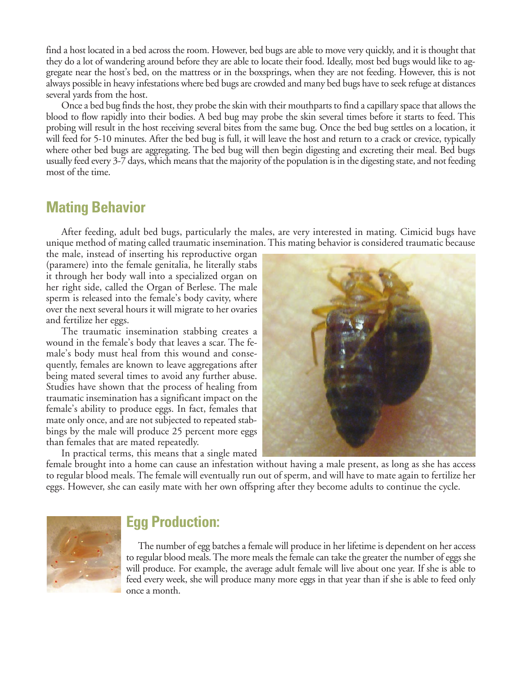find a host located in a bed across the room. However, bed bugs are able to move very quickly, and it is thought that they do a lot of wandering around before they are able to locate their food. Ideally, most bed bugs would like to aggregate near the host's bed, on the mattress or in the boxsprings, when they are not feeding. However, this is not always possible in heavy infestations where bed bugs are crowded and many bed bugs have to seek refuge at distances several yards from the host.

Once a bed bug finds the host, they probe the skin with their mouthparts to find a capillary space that allows the blood to flow rapidly into their bodies. A bed bug may probe the skin several times before it starts to feed. This probing will result in the host receiving several bites from the same bug. Once the bed bug settles on a location, it will feed for 5-10 minutes. After the bed bug is full, it will leave the host and return to a crack or crevice, typically where other bed bugs are aggregating. The bed bug will then begin digesting and excreting their meal. Bed bugs usually feed every 3-7 days, which means that the majority of the population is in the digesting state, and not feeding most of the time.

#### **Mating Behavior**

After feeding, adult bed bugs, particularly the males, are very interested in mating. Cimicid bugs have unique method of mating called traumatic insemination. This mating behavior is considered traumatic because

the male, instead of inserting his reproductive organ (paramere) into the female genitalia, he literally stabs it through her body wall into a specialized organ on her right side, called the Organ of Berlese. The male sperm is released into the female's body cavity, where over the next several hours it will migrate to her ovaries and fertilize her eggs.

The traumatic insemination stabbing creates a wound in the female's body that leaves a scar. The female's body must heal from this wound and consequently, females are known to leave aggregations after being mated several times to avoid any further abuse. Studies have shown that the process of healing from traumatic insemination has a significant impact on the female's ability to produce eggs. In fact, females that mate only once, and are not subjected to repeated stabbings by the male will produce 25 percent more eggs than females that are mated repeatedly.

In practical terms, this means that a single mated



female brought into a home can cause an infestation without having a male present, as long as she has access to regular blood meals. The female will eventually run out of sperm, and will have to mate again to fertilize her eggs. However, she can easily mate with her own offspring after they become adults to continue the cycle.



#### **Egg Production:**

The number of egg batches a female will produce in her lifetime is dependent on her access to regular blood meals. The more meals the female can take the greater the number of eggs she will produce. For example, the average adult female will live about one year. If she is able to feed every week, she will produce many more eggs in that year than if she is able to feed only once a month.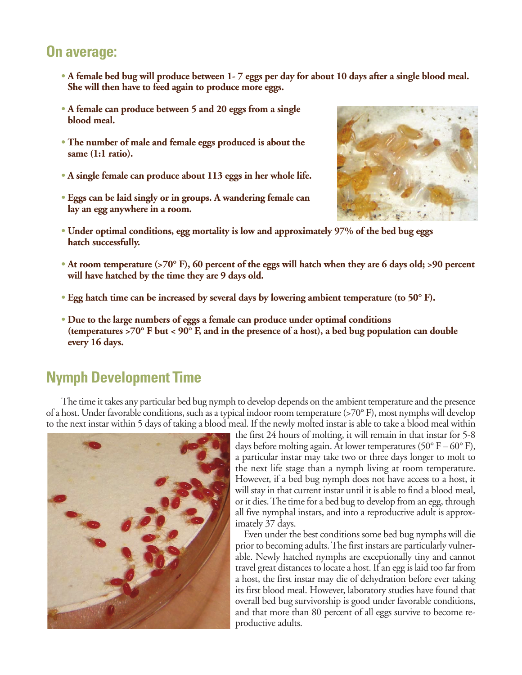#### **On average:**

- **A female bed bug will produce between 1- 7 eggs per day for about 10 days after a single blood meal. • She will then have to feed again to produce more eggs.**
- **A female can produce between 5 and 20 eggs from a single • blood meal.**
- **The number of male and female eggs produced is about the • same (1:1 ratio).**
- **A single female can produce about 113 eggs in her whole life.**
- **Eggs can be laid singly or in groups. A wandering female can • lay an egg anywhere in a room.**



- **Under optimal conditions, egg mortality is low and approximately 97% of the bed bug eggs • hatch successfully.**
- **At room temperature (>70° F), 60 percent of the eggs will hatch when they are 6 days old; >90 percent • will have hatched by the time they are 9 days old.**
- **Egg hatch time can be increased by several days by lowering ambient temperature (to 50° F).**
- **Due to the large numbers of eggs a female can produce under optimal conditions • (temperatures >70° F but < 90° F, and in the presence of a host), a bed bug population can double • every 16 days.**

## **Nymph Development Time**

The time it takes any particular bed bug nymph to develop depends on the ambient temperature and the presence of a host. Under favorable conditions, such as a typical indoor room temperature (>70° F), most nymphs will develop to the next instar within 5 days of taking a blood meal. If the newly molted instar is able to take a blood meal within



the first 24 hours of molting, it will remain in that instar for 5-8 days before molting again. At lower temperatures (50 $\degree$  F – 60 $\degree$  F), a particular instar may take two or three days longer to molt to the next life stage than a nymph living at room temperature. However, if a bed bug nymph does not have access to a host, it will stay in that current instar until it is able to find a blood meal, or it dies. The time for a bed bug to develop from an egg, through all five nymphal instars, and into a reproductive adult is approximately 37 days.

Even under the best conditions some bed bug nymphs will die prior to becoming adults. The first instars are particularly vulnerable. Newly hatched nymphs are exceptionally tiny and cannot travel great distances to locate a host. If an egg is laid too far from a host, the first instar may die of dehydration before ever taking its first blood meal. However, laboratory studies have found that overall bed bug survivorship is good under favorable conditions, and that more than 80 percent of all eggs survive to become reproductive adults.